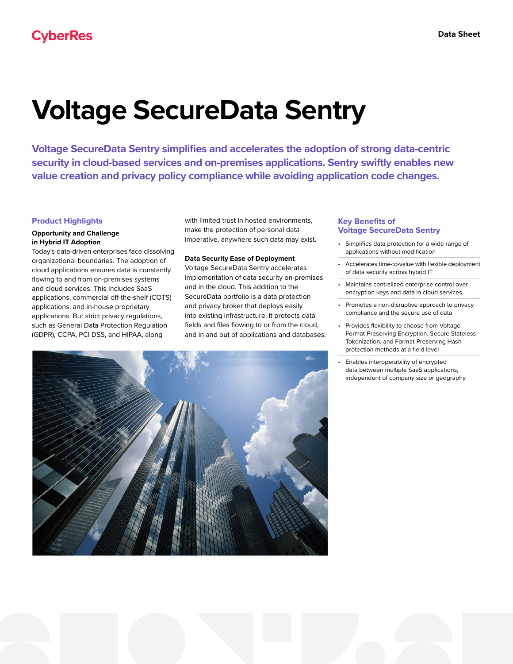# **Voltage SecureData Sentry**

**Voltage SecureData Sentry simplifies and accelerates the adoption of strong data-centric security in cloud-based services and on-premises applications. Sentry swiftly enables new value creation and privacy policy compliance while avoiding application code changes.**

# **Product Highlights**

## **Opportunity and Challenge in Hybrid IT Adoption**

Today's data-driven enterprises face dissolving organizational boundaries. The adoption of cloud applications ensures data is constantly flowing to and from on-premises systems and cloud services. This includes SaaS applications, commercial off-the-shelf (COTS) applications, and in-house proprietary applications. But strict privacy regulations, such as General Data Protection Regulation (GDPR), CCPA, PCI DSS, and HIPAA, along

with limited trust in hosted environments. make the protection of personal data imperative, anywhere such data may exist.

#### **Data Security Ease of Deployment**

Voltage SecureData Sentry accelerates implementation of data security on-premises and in the cloud. This addition to the SecureData portfolio is a data protection and privacy broker that deploys easily into existing infrastructure. It protects data fields and files flowing to or from the cloud, and in and out of applications and databases.

# **Key Benefits of Voltage SecureData Sentry**

- Simplifies data protection for a wide range of applications without modification
- Accelerates time-to-value with flexible deployment of data security across hybrid IT
- Maintains centralized enterprise control over encryption keys and data in cloud services
- Promotes a non-disruptive approach to privacy compliance and the secure use of data
- Provides flexibility to choose from Voltage Format-Preserving Encryption, Secure Stateless Tokenization, and Format-Preserving Hash protection methods at a field level
- Enables interoperability of encrypted data between multiple SaaS applications, independent of company size or geography



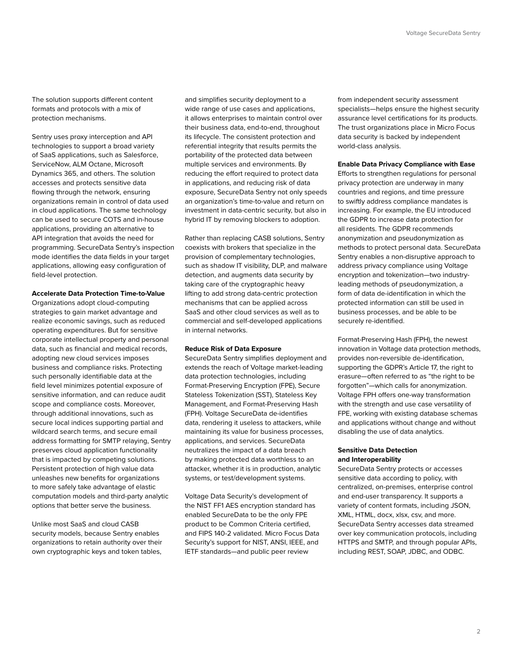The solution supports different content formats and protocols with a mix of protection mechanisms.

Sentry uses proxy interception and API technologies to support a broad variety of SaaS applications, such as Salesforce, ServiceNow, ALM Octane, Microsoft Dynamics 365, and others. The solution accesses and protects sensitive data flowing through the network, ensuring organizations remain in control of data used in cloud applications. The same technology can be used to secure COTS and in-house applications, providing an alternative to API integration that avoids the need for programming. SecureData Sentry's inspection mode identifies the data fields in your target applications, allowing easy configuration of field-level protection.

# **Accelerate Data Protection Time-to-Value**

Organizations adopt cloud-computing strategies to gain market advantage and realize economic savings, such as reduced operating expenditures. But for sensitive corporate intellectual property and personal data, such as financial and medical records, adopting new cloud services imposes business and compliance risks. Protecting such personally identifiable data at the field level minimizes potential exposure of sensitive information, and can reduce audit scope and compliance costs. Moreover, through additional innovations, such as secure local indices supporting partial and wildcard search terms, and secure email address formatting for SMTP relaying, Sentry preserves cloud application functionality that is impacted by competing solutions. Persistent protection of high value data unleashes new benefits for organizations to more safely take advantage of elastic computation models and third-party analytic options that better serve the business.

Unlike most SaaS and cloud CASB security models, because Sentry enables organizations to retain authority over their own cryptographic keys and token tables,

and simplifies security deployment to a wide range of use cases and applications, it allows enterprises to maintain control over their business data, end-to-end, throughout its lifecycle. The consistent protection and referential integrity that results permits the portability of the protected data between multiple services and environments. By reducing the effort required to protect data in applications, and reducing risk of data exposure, SecureData Sentry not only speeds an organization's time-to-value and return on investment in data-centric security, but also in hybrid IT by removing blockers to adoption.

Rather than replacing CASB solutions, Sentry coexists with brokers that specialize in the provision of complementary technologies, such as shadow IT visibility, DLP, and malware detection, and augments data security by taking care of the cryptographic heavy lifting to add strong data-centric protection mechanisms that can be applied across SaaS and other cloud services as well as to commercial and self-developed applications in internal networks.

## **Reduce Risk of Data Exposure**

SecureData Sentry simplifies deployment and extends the reach of Voltage market-leading data protection technologies, including Format-Preserving Encryption (FPE), Secure Stateless Tokenization (SST), Stateless Key Management, and Format-Preserving Hash (FPH). Voltage SecureData de-identifies data, rendering it useless to attackers, while maintaining its value for business processes, applications, and services. SecureData neutralizes the impact of a data breach by making protected data worthless to an attacker, whether it is in production, analytic systems, or test/development systems.

Voltage Data Security's development of the NIST FF1 AES encryption standard has enabled SecureData to be the only FPE product to be Common Criteria certified, and FIPS 140-2 validated. Micro Focus Data Security's support for NIST, ANSI, IEEE, and IETF standards—and public peer review

from independent security assessment specialists—helps ensure the highest security assurance level certifications for its products. The trust organizations place in Micro Focus data security is backed by independent world-class analysis.

## **Enable Data Privacy Compliance with Ease**

Efforts to strengthen regulations for personal privacy protection are underway in many countries and regions, and time pressure to swiftly address compliance mandates is increasing. For example, the EU introduced the GDPR to increase data protection for all residents. The GDPR recommends anonymization and pseudonymization as methods to protect personal data. SecureData Sentry enables a non-disruptive approach to address privacy compliance using Voltage encryption and tokenization—two industryleading methods of pseudonymization, a form of data de-identification in which the protected information can still be used in business processes, and be able to be securely re-identified.

Format-Preserving Hash (FPH), the newest innovation in Voltage data protection methods, provides non-reversible de-identification, supporting the GDPR's Article 17, the right to erasure—often referred to as "the right to be forgotten"—which calls for anonymization. Voltage FPH offers one-way transformation with the strength and use case versatility of FPE, working with existing database schemas and applications without change and without disabling the use of data analytics.

# **Sensitive Data Detection and Interoperability**

SecureData Sentry protects or accesses sensitive data according to policy, with centralized, on-premises, enterprise control and end-user transparency. It supports a variety of content formats, including JSON, XML, HTML, docx, xlsx, csv, and more. SecureData Sentry accesses data streamed over key communication protocols, including HTTPS and SMTP, and through popular APIs, including REST, SOAP, JDBC, and ODBC.